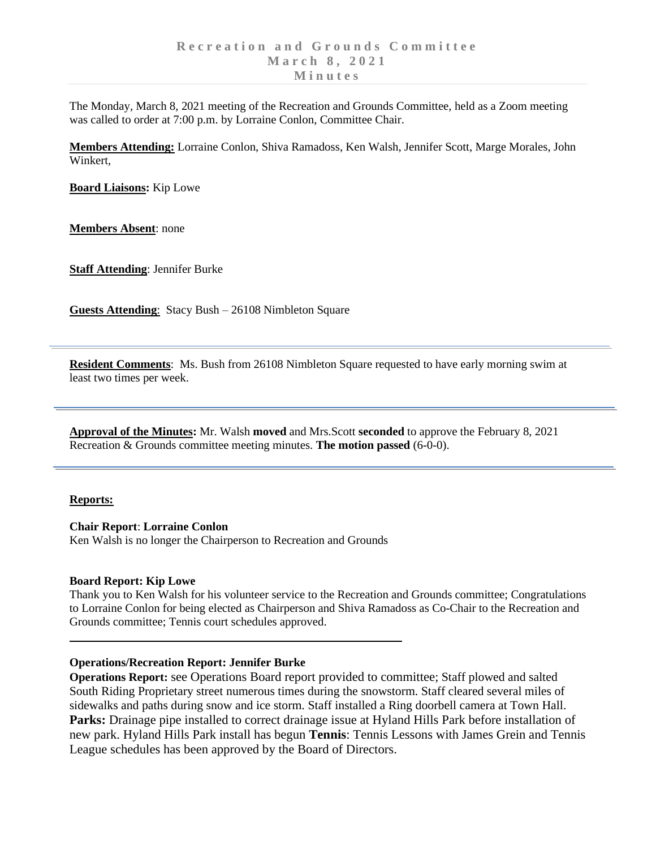The Monday, March 8, 2021 meeting of the Recreation and Grounds Committee, held as a Zoom meeting was called to order at 7:00 p.m. by Lorraine Conlon, Committee Chair.

**Members Attending:** Lorraine Conlon, Shiva Ramadoss, Ken Walsh, Jennifer Scott, Marge Morales, John Winkert,

**Board Liaisons:** Kip Lowe

**Members Absent**: none

**Staff Attending**: Jennifer Burke

**Guests Attending**: Stacy Bush – 26108 Nimbleton Square

**Resident Comments**: Ms. Bush from 26108 Nimbleton Square requested to have early morning swim at least two times per week.

**Approval of the Minutes:** Mr. Walsh **moved** and Mrs.Scott **seconded** to approve the February 8, 2021 Recreation & Grounds committee meeting minutes. **The motion passed** (6-0-0).

### **Reports:**

**Chair Report**: **Lorraine Conlon**

Ken Walsh is no longer the Chairperson to Recreation and Grounds

### **Board Report: Kip Lowe**

Thank you to Ken Walsh for his volunteer service to the Recreation and Grounds committee; Congratulations to Lorraine Conlon for being elected as Chairperson and Shiva Ramadoss as Co-Chair to the Recreation and Grounds committee; Tennis court schedules approved.

### **Operations/Recreation Report: Jennifer Burke**

**Operations Report:** see Operations Board report provided to committee; Staff plowed and salted South Riding Proprietary street numerous times during the snowstorm. Staff cleared several miles of sidewalks and paths during snow and ice storm. Staff installed a Ring doorbell camera at Town Hall. **Parks:** Drainage pipe installed to correct drainage issue at Hyland Hills Park before installation of new park. Hyland Hills Park install has begun **Tennis**: Tennis Lessons with James Grein and Tennis League schedules has been approved by the Board of Directors.